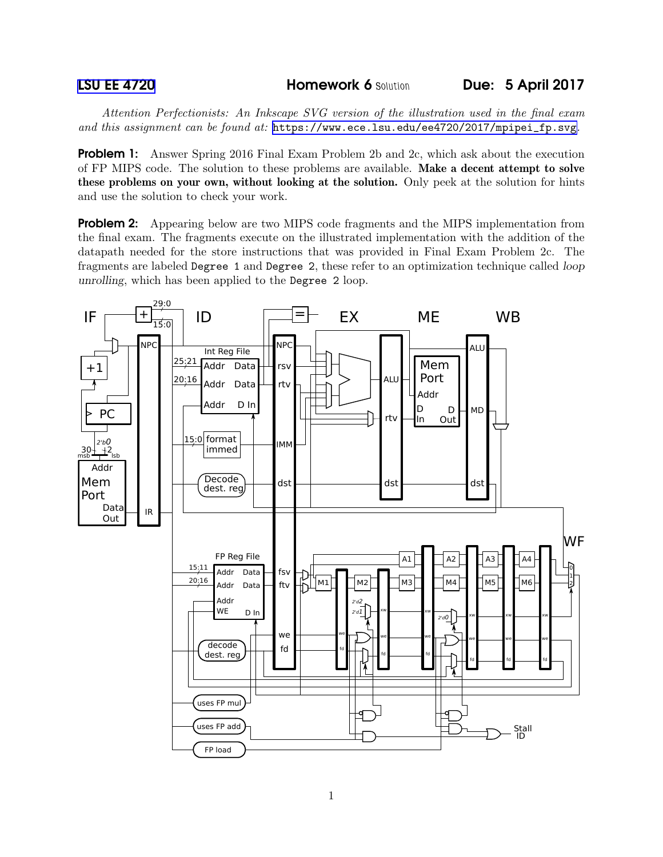*Attention Perfectionists: An Inkscape SVG version of the illustration used in the final exam and this assignment can be found at:* [https://www.ece.lsu.edu/ee4720/2017/mpipei\\_fp.svg](https://www.ece.lsu.edu/ee4720/2017/mpipei_fp.svg)*.*

**Problem 1:** Answer Spring 2016 Final Exam Problem 2b and 2c, which ask about the execution of FP MIPS code. The solution to these problems are available. Make a decent attempt to solve these problems on your own, without looking at the solution. Only peek at the solution for hints and use the solution to check your work.

**Problem 2:** Appearing below are two MIPS code fragments and the MIPS implementation from the final exam. The fragments execute on the illustrated implementation with the addition of the datapath needed for the store instructions that was provided in Final Exam Problem 2c. The fragments are labeled Degree 1 and Degree 2, these refer to an optimization technique called loop unrolling, which has been applied to the Degree 2 loop.

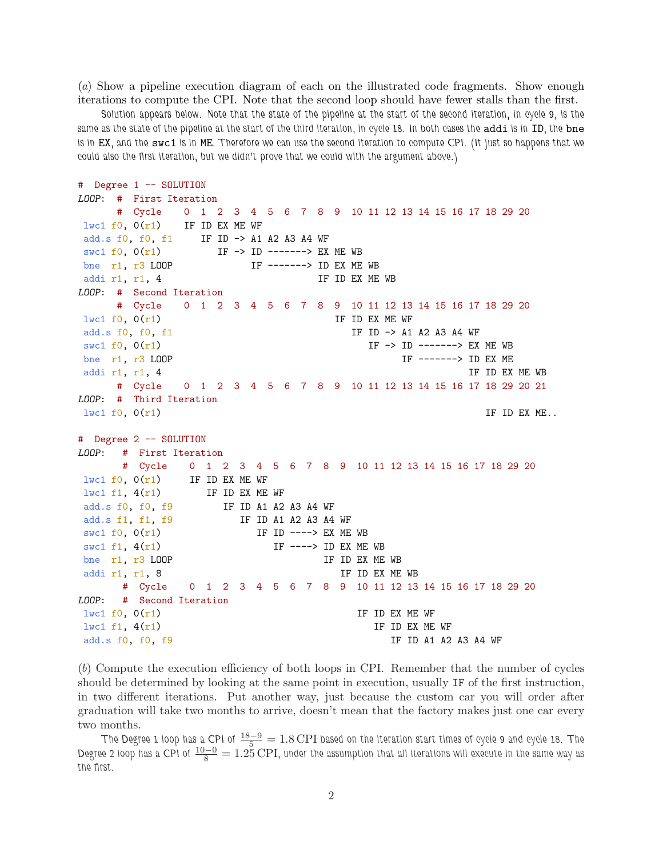(*a*) Show a pipeline execution diagram of each on the illustrated code fragments. Show enough iterations to compute the CPI. Note that the second loop should have fewer stalls than the first.

Solution appears below. Note that the state of the pipeline at the start of the second iteration, in cycle 9, is the same as the state of the pipeline at the start of the third iteration, in cycle 18. In both cases the addi is in ID, the bne is in EX, and the swc1 is in ME. Therefore we can use the second iteration to compute CPI. (It just so happens that we could also the first iteration, but we didn't prove that we could with the argument above.)

```
# Degree 1 -- SOLUTION
LOOP: # First Iteration
    # Cycle 0 1 2 3 4 5 6 7 8 9 10 11 12 13 14 15 16 17 18 29 20
lwc1 f0, 0(r1) IF ID EX ME WF
add.s f0, f0, f1 IF ID -> A1 A2 A3 A4 WF
swc1 f0, 0(r1) IF -> ID -------> EX ME WB
bne r1, r3 LOOP IF -------> ID EX ME WB
addi r1, r1, 4 IF ID EX ME WB
LOOP: # Second Iteration
    # Cycle 0 1 2 3 4 5 6 7 8 9 10 11 12 13 14 15 16 17 18 29 20
lwc1 f0, 0(r1) IF ID EX ME WF
add.s f0, f0, f1 IF ID -> A1 A2 A3 A4 WF
swc1 f0, 0(r1) IF -> ID ------> EX ME WB
bne r1, r3 LOOP IF ------> ID EX ME
addi r1, r1, 4 \blacksquare IF ID EX ME WB
    # Cycle 0 1 2 3 4 5 6 7 8 9 10 11 12 13 14 15 16 17 18 29 20 21
LOOP: # Third Iteration
\lceil \text{lwc1 f0, 0(r1)} \rceil IF ID EX ME..
# Degree 2 -- SOLUTION
LOOP: # First Iteration
     # Cycle 0 1 2 3 4 5 6 7 8 9 10 11 12 13 14 15 16 17 18 29 20
lwc1 f0, 0(r1) IF ID EX ME WF
lwc1 f1, 4(r1) IF ID EX ME WF
add.s f0, f0, f9 IF ID A1 A2 A3 A4 WF
add.s f1, f1, f9 IF ID A1 A2 A3 A4 WF
swc1 f0, 0(r1) IF ID ----> EX ME WB
swc1 f1, 4(r1) IF ----> ID EX ME WB
bne r1, r3 LOOP IF ID EX ME WB
addi r1, r1, 8 IF ID EX ME WB
     # Cycle 0 1 2 3 4 5 6 7 8 9 10 11 12 13 14 15 16 17 18 29 20
LOOP: # Second Iteration
lwc1 f0, 0(r1) IF ID EX ME WF
lwc1 f1, 4(r1) IF ID EX ME WF
add.s f0, f0, f9 IF ID A1 A2 A3 A4 WF
```
(*b*) Compute the execution efficiency of both loops in CPI. Remember that the number of cycles should be determined by looking at the same point in execution, usually IF of the first instruction, in two different iterations. Put another way, just because the custom car you will order after graduation will take two months to arrive, doesn't mean that the factory makes just one car every two months.

The Degree 1 loop has a CPI of  $\frac{18-9}{5}=1.8$  CPI based on the iteration start times of cycle 9 and cycle 18. The Degree 2 loop has a CPI of  $\frac{10-0}{8}=1.25$  CPI, under the assumption that all iterations will execute in the same way as the first.